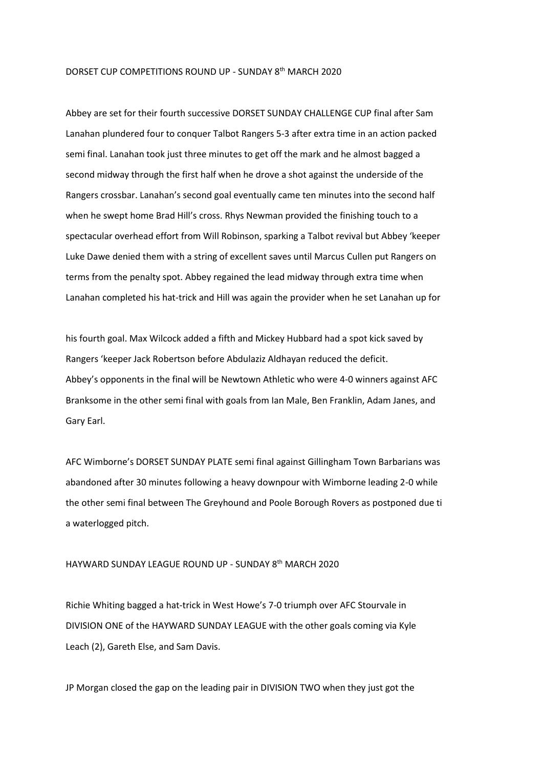## DORSET CUP COMPETITIONS ROUND UP - SUNDAY 8th MARCH 2020

Abbey are set for their fourth successive DORSET SUNDAY CHALLENGE CUP final after Sam Lanahan plundered four to conquer Talbot Rangers 5-3 after extra time in an action packed semi final. Lanahan took just three minutes to get off the mark and he almost bagged a second midway through the first half when he drove a shot against the underside of the Rangers crossbar. Lanahan's second goal eventually came ten minutes into the second half when he swept home Brad Hill's cross. Rhys Newman provided the finishing touch to a spectacular overhead effort from Will Robinson, sparking a Talbot revival but Abbey 'keeper Luke Dawe denied them with a string of excellent saves until Marcus Cullen put Rangers on terms from the penalty spot. Abbey regained the lead midway through extra time when Lanahan completed his hat-trick and Hill was again the provider when he set Lanahan up for

his fourth goal. Max Wilcock added a fifth and Mickey Hubbard had a spot kick saved by Rangers 'keeper Jack Robertson before Abdulaziz Aldhayan reduced the deficit. Abbey's opponents in the final will be Newtown Athletic who were 4-0 winners against AFC Branksome in the other semi final with goals from Ian Male, Ben Franklin, Adam Janes, and Gary Earl.

AFC Wimborne's DORSET SUNDAY PLATE semi final against Gillingham Town Barbarians was abandoned after 30 minutes following a heavy downpour with Wimborne leading 2-0 while the other semi final between The Greyhound and Poole Borough Rovers as postponed due ti a waterlogged pitch.

## HAYWARD SUNDAY LEAGUE ROUND UP - SUNDAY 8th MARCH 2020

Richie Whiting bagged a hat-trick in West Howe's 7-0 triumph over AFC Stourvale in DIVISION ONE of the HAYWARD SUNDAY LEAGUE with the other goals coming via Kyle Leach (2), Gareth Else, and Sam Davis.

JP Morgan closed the gap on the leading pair in DIVISION TWO when they just got the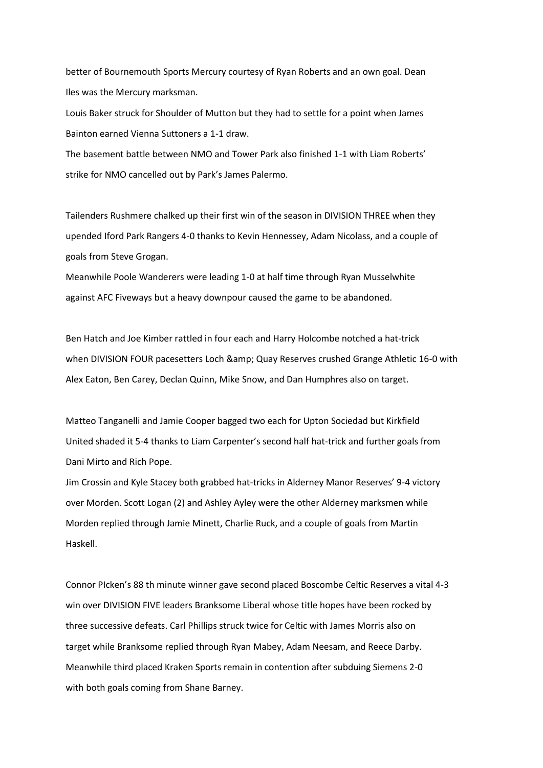better of Bournemouth Sports Mercury courtesy of Ryan Roberts and an own goal. Dean Iles was the Mercury marksman.

Louis Baker struck for Shoulder of Mutton but they had to settle for a point when James Bainton earned Vienna Suttoners a 1-1 draw.

The basement battle between NMO and Tower Park also finished 1-1 with Liam Roberts' strike for NMO cancelled out by Park's James Palermo.

Tailenders Rushmere chalked up their first win of the season in DIVISION THREE when they upended Iford Park Rangers 4-0 thanks to Kevin Hennessey, Adam Nicolass, and a couple of goals from Steve Grogan.

Meanwhile Poole Wanderers were leading 1-0 at half time through Ryan Musselwhite against AFC Fiveways but a heavy downpour caused the game to be abandoned.

Ben Hatch and Joe Kimber rattled in four each and Harry Holcombe notched a hat-trick when DIVISION FOUR pacesetters Loch & amp; Quay Reserves crushed Grange Athletic 16-0 with Alex Eaton, Ben Carey, Declan Quinn, Mike Snow, and Dan Humphres also on target.

Matteo Tanganelli and Jamie Cooper bagged two each for Upton Sociedad but Kirkfield United shaded it 5-4 thanks to Liam Carpenter's second half hat-trick and further goals from Dani Mirto and Rich Pope.

Jim Crossin and Kyle Stacey both grabbed hat-tricks in Alderney Manor Reserves' 9-4 victory over Morden. Scott Logan (2) and Ashley Ayley were the other Alderney marksmen while Morden replied through Jamie Minett, Charlie Ruck, and a couple of goals from Martin Haskell.

Connor PIcken's 88 th minute winner gave second placed Boscombe Celtic Reserves a vital 4-3 win over DIVISION FIVE leaders Branksome Liberal whose title hopes have been rocked by three successive defeats. Carl Phillips struck twice for Celtic with James Morris also on target while Branksome replied through Ryan Mabey, Adam Neesam, and Reece Darby. Meanwhile third placed Kraken Sports remain in contention after subduing Siemens 2-0 with both goals coming from Shane Barney.